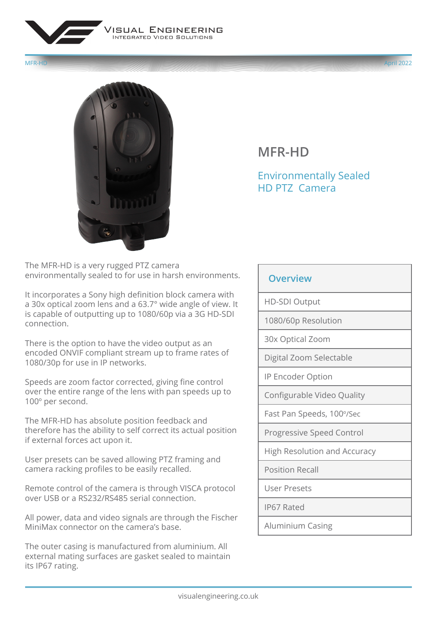



## **MFR-HD**

## Environmentally Sealed HD PTZ Camera

The MFR-HD is a very rugged PTZ camera environmentally sealed to for use in harsh environments.

It incorporates a Sony high definition block camera with a 30x optical zoom lens and a 63.7° wide angle of view. It is capable of outputting up to 1080/60p via a 3G HD-SDI connection.

There is the option to have the video output as an encoded ONVIF compliant stream up to frame rates of 1080/30p for use in IP networks.

Speeds are zoom factor corrected, giving fine control over the entire range of the lens with pan speeds up to 100º per second.

The MFR-HD has absolute position feedback and therefore has the ability to self correct its actual position if external forces act upon it.

User presets can be saved allowing PTZ framing and camera racking profiles to be easily recalled.

Remote control of the camera is through VISCA protocol over USB or a RS232/RS485 serial connection.

All power, data and video signals are through the Fischer MiniMax connector on the camera's base.

The outer casing is manufactured from aluminium. All external mating surfaces are gasket sealed to maintain its IP67 rating.

## **Overview**

HD-SDI Output

1080/60p Resolution

30x Optical Zoom

Digital Zoom Selectable

IP Encoder Option

Configurable Video Quality

Fast Pan Speeds, 100º/Sec

Progressive Speed Control

High Resolution and Accuracy

Position Recall

User Presets

IP67 Rated

Aluminium Casing